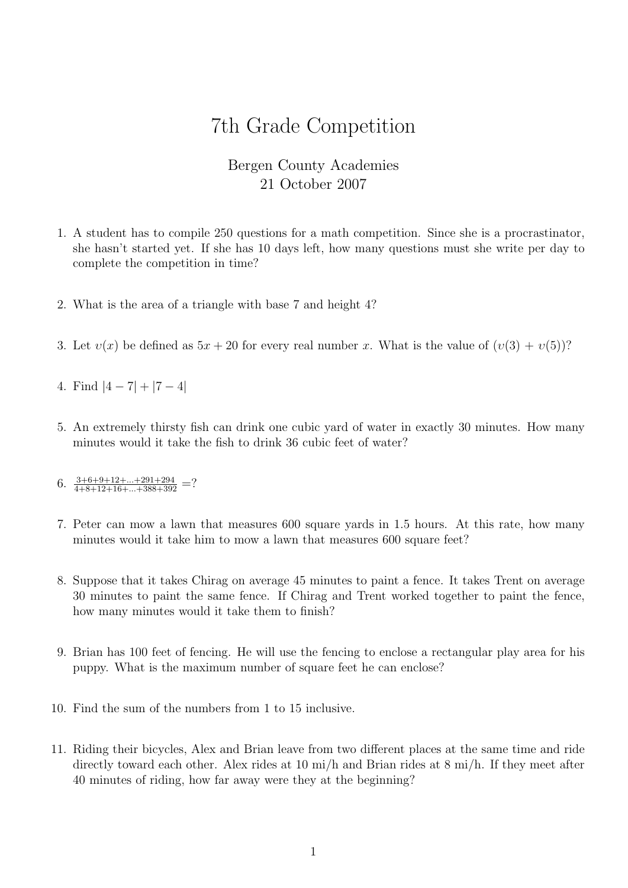## 7th Grade Competition

## Bergen County Academies 21 October 2007

- 1. A student has to compile 250 questions for a math competition. Since she is a procrastinator, she hasn't started yet. If she has 10 days left, how many questions must she write per day to complete the competition in time?
- 2. What is the area of a triangle with base 7 and height 4?
- 3. Let  $v(x)$  be defined as  $5x + 20$  for every real number x. What is the value of  $(v(3) + v(5))$ ?
- 4. Find  $|4 7| + |7 4|$
- 5. An extremely thirsty fish can drink one cubic yard of water in exactly 30 minutes. How many minutes would it take the fish to drink 36 cubic feet of water?
- 6.  $\frac{3+6+9+12+\ldots+291+294}{4+8+12+16+\ldots+388+392}$  =?
- 7. Peter can mow a lawn that measures 600 square yards in 1.5 hours. At this rate, how many minutes would it take him to mow a lawn that measures 600 square feet?
- 8. Suppose that it takes Chirag on average 45 minutes to paint a fence. It takes Trent on average 30 minutes to paint the same fence. If Chirag and Trent worked together to paint the fence, how many minutes would it take them to finish?
- 9. Brian has 100 feet of fencing. He will use the fencing to enclose a rectangular play area for his puppy. What is the maximum number of square feet he can enclose?
- 10. Find the sum of the numbers from 1 to 15 inclusive.
- 11. Riding their bicycles, Alex and Brian leave from two different places at the same time and ride directly toward each other. Alex rides at 10 mi/h and Brian rides at 8 mi/h. If they meet after 40 minutes of riding, how far away were they at the beginning?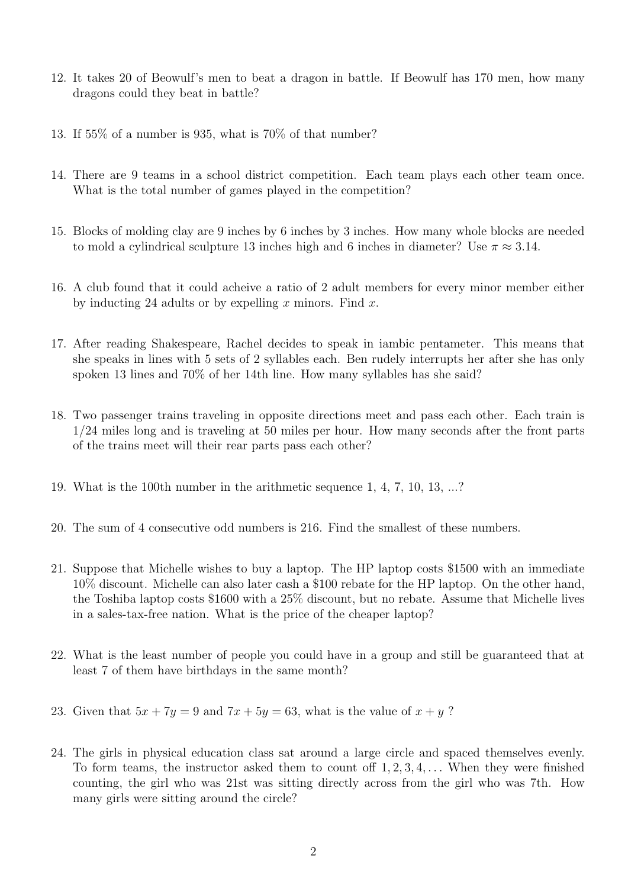- 12. It takes 20 of Beowulf's men to beat a dragon in battle. If Beowulf has 170 men, how many dragons could they beat in battle?
- 13. If 55% of a number is 935, what is 70% of that number?
- 14. There are 9 teams in a school district competition. Each team plays each other team once. What is the total number of games played in the competition?
- 15. Blocks of molding clay are 9 inches by 6 inches by 3 inches. How many whole blocks are needed to mold a cylindrical sculpture 13 inches high and 6 inches in diameter? Use  $\pi \approx 3.14$ .
- 16. A club found that it could acheive a ratio of 2 adult members for every minor member either by inducting 24 adults or by expelling  $x$  minors. Find  $x$ .
- 17. After reading Shakespeare, Rachel decides to speak in iambic pentameter. This means that she speaks in lines with 5 sets of 2 syllables each. Ben rudely interrupts her after she has only spoken 13 lines and 70% of her 14th line. How many syllables has she said?
- 18. Two passenger trains traveling in opposite directions meet and pass each other. Each train is 1/24 miles long and is traveling at 50 miles per hour. How many seconds after the front parts of the trains meet will their rear parts pass each other?
- 19. What is the 100th number in the arithmetic sequence 1, 4, 7, 10, 13, ...?
- 20. The sum of 4 consecutive odd numbers is 216. Find the smallest of these numbers.
- 21. Suppose that Michelle wishes to buy a laptop. The HP laptop costs \$1500 with an immediate 10% discount. Michelle can also later cash a \$100 rebate for the HP laptop. On the other hand, the Toshiba laptop costs \$1600 with a 25% discount, but no rebate. Assume that Michelle lives in a sales-tax-free nation. What is the price of the cheaper laptop?
- 22. What is the least number of people you could have in a group and still be guaranteed that at least 7 of them have birthdays in the same month?
- 23. Given that  $5x + 7y = 9$  and  $7x + 5y = 63$ , what is the value of  $x + y$ ?
- 24. The girls in physical education class sat around a large circle and spaced themselves evenly. To form teams, the instructor asked them to count off  $1, 2, 3, 4, \ldots$  When they were finished counting, the girl who was 21st was sitting directly across from the girl who was 7th. How many girls were sitting around the circle?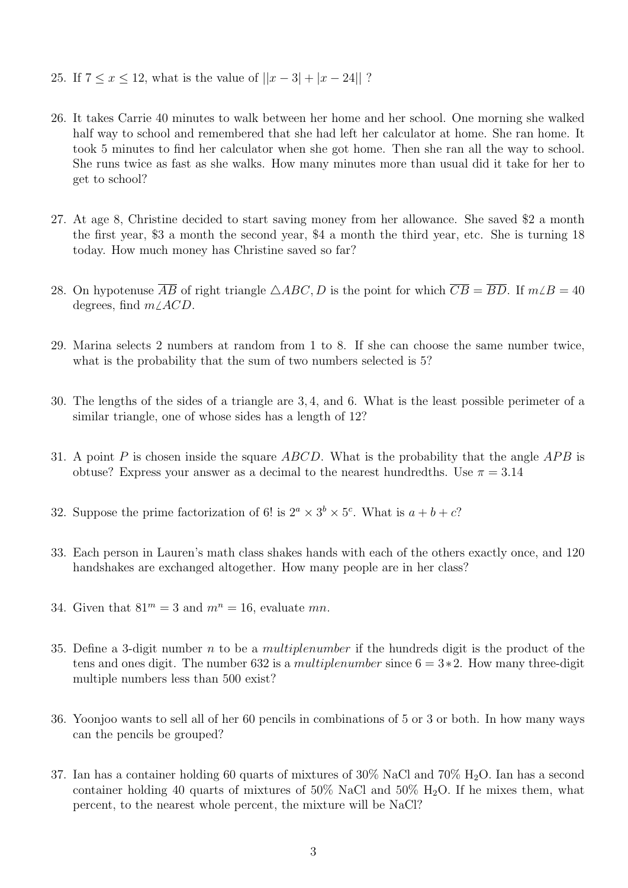- 25. If  $7 \le x \le 12$ , what is the value of  $||x-3| + |x-24||$ ?
- 26. It takes Carrie 40 minutes to walk between her home and her school. One morning she walked half way to school and remembered that she had left her calculator at home. She ran home. It took 5 minutes to find her calculator when she got home. Then she ran all the way to school. She runs twice as fast as she walks. How many minutes more than usual did it take for her to get to school?
- 27. At age 8, Christine decided to start saving money from her allowance. She saved \$2 a month the first year, \$3 a month the second year, \$4 a month the third year, etc. She is turning 18 today. How much money has Christine saved so far?
- 28. On hypotenuse  $\overline{AB}$  of right triangle  $\triangle ABC$ , D is the point for which  $\overline{CB} = \overline{BD}$ . If  $m \angle B = 40$ degrees, find  $m\angle ACD$ .
- 29. Marina selects 2 numbers at random from 1 to 8. If she can choose the same number twice, what is the probability that the sum of two numbers selected is 5?
- 30. The lengths of the sides of a triangle are 3, 4, and 6. What is the least possible perimeter of a similar triangle, one of whose sides has a length of 12?
- 31. A point P is chosen inside the square ABCD. What is the probability that the angle APB is obtuse? Express your answer as a decimal to the nearest hundredths. Use  $\pi = 3.14$
- 32. Suppose the prime factorization of 6! is  $2^a \times 3^b \times 5^c$ . What is  $a + b + c$ ?
- 33. Each person in Lauren's math class shakes hands with each of the others exactly once, and 120 handshakes are exchanged altogether. How many people are in her class?
- 34. Given that  $81^m = 3$  and  $m^n = 16$ , evaluate mn.
- 35. Define a 3-digit number n to be a multiplenumber if the hundreds digit is the product of the tens and ones digit. The number 632 is a *multiplenumber* since  $6 = 3*2$ . How many three-digit multiple numbers less than 500 exist?
- 36. Yoonjoo wants to sell all of her 60 pencils in combinations of 5 or 3 or both. In how many ways can the pencils be grouped?
- 37. Ian has a container holding 60 quarts of mixtures of 30% NaCl and 70% H2O. Ian has a second container holding 40 quarts of mixtures of 50% NaCl and 50%  $H_2O$ . If he mixes them, what percent, to the nearest whole percent, the mixture will be NaCl?